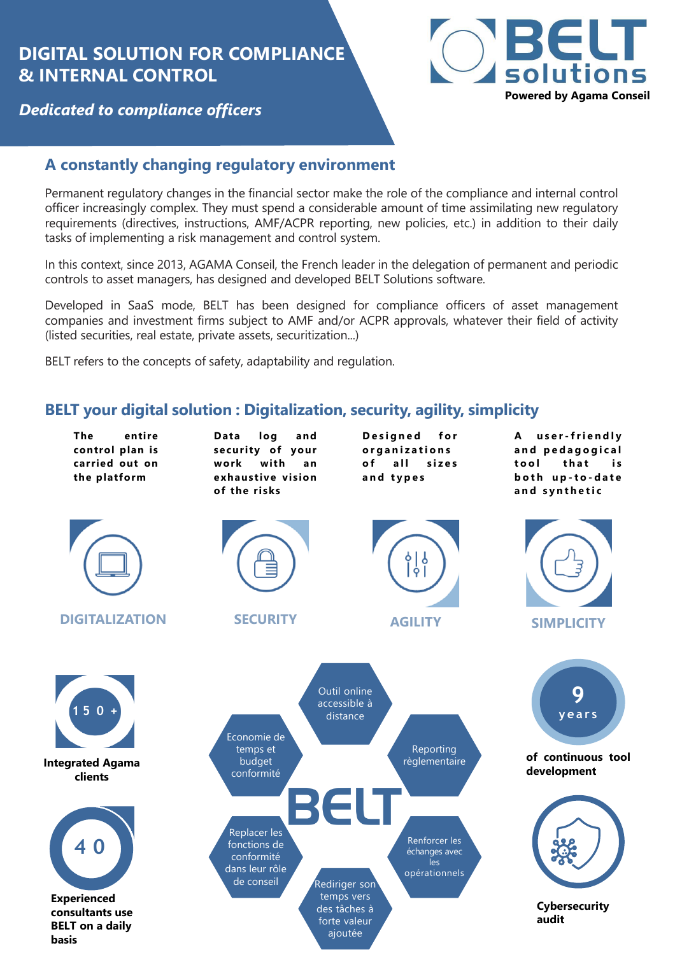# **DIGITAL SOLUTION FOR COMPLIANCE & INTERNAL CONTROL**



### *Dedicated to compliance officers*

## **A constantly changing regulatory environment**

Permanent regulatory changes in the financial sector make the role of the compliance and internal control officer increasingly complex. They must spend a considerable amount of time assimilating new regulatory requirements (directives, instructions, AMF/ACPR reporting, new policies, etc.) in addition to their daily tasks of implementing a risk management and control system.

In this context, since 2013, AGAMA Conseil, the French leader in the delegation of permanent and periodic controls to asset managers, has designed and developed BELT Solutions software.

Developed in SaaS mode, BELT has been designed for compliance officers of asset management companies and investment firms subject to AMF and/or ACPR approvals, whatever their field of activity (listed securities, real estate, private assets, securitization...)

BELT refers to the concepts of safety, adaptability and regulation.

### **BELT your digital solution : Digitalization, security, agility, simplicity**